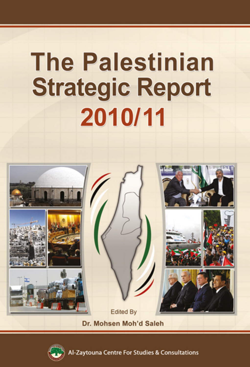# **The Palestinian Strategic Report** 2010/11





Zaytouna Centre For Studies & Consultations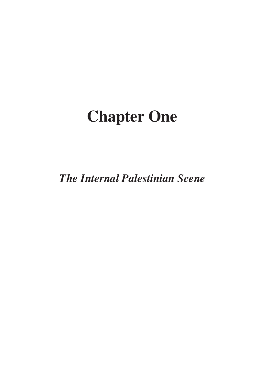# **Chapter One**

*The Internal Palestinian Scene*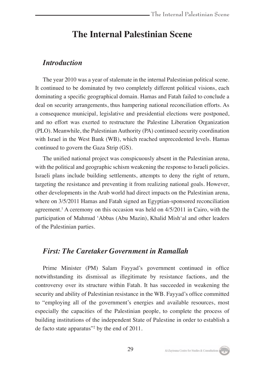# **The Internal Palestinian Scene**

# *Introduction*

The year 2010 was a year of stalemate in the internal Palestinian political scene. It continued to be dominated by two completely different political visions, each dominating a specific geographical domain. Hamas and Fatah failed to conclude a deal on security arrangements, thus hampering national reconciliation efforts. As a consequence municipal, legislative and presidential elections were postponed, and no effort was exerted to restructure the Palestine Liberation Organization (PLO). Meanwhile, the Palestinian Authority (PA) continued security coordination with Israel in the West Bank (WB), which reached unprecedented levels. Hamas continued to govern the Gaza Strip (GS).

The unified national project was conspicuously absent in the Palestinian arena, with the political and geographic schism weakening the response to Israeli policies. Israeli plans include building settlements, attempts to deny the right of return, targeting the resistance and preventing it from realizing national goals. However, other developments in the Arab world had direct impacts on the Palestinian arena, where on 3/5/2011 Hamas and Fatah signed an Egyptian-sponsored reconciliation agreement.<sup>1</sup> A ceremony on this occasion was held on 4/5/2011 in Cairo, with the participation of Mahmud 'Abbas (Abu Mazin), Khalid Mish'al and other leaders of the Palestinian parties.

# *First: The Caretaker Government in Ramallah*

Prime Minister (PM) Salam Fayyad's government continued in office notwithstanding its dismissal as illegitimate by resistance factions, and the controversy over its structure within Fatah. It has succeeded in weakening the security and ability of Palestinian resistance in the WB. Fayyad's office committed to "employing all of the government's energies and available resources, most especially the capacities of the Palestinian people, to complete the process of building institutions of the independent State of Palestine in order to establish a de facto state apparatus"2 by the end of 2011.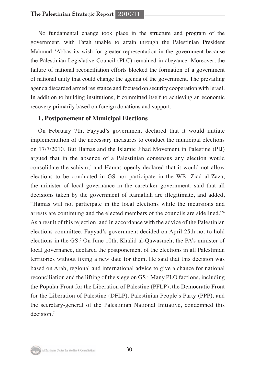No fundamental change took place in the structure and program of the government, with Fatah unable to attain through the Palestinian President Mahmud 'Abbas its wish for greater representation in the government because the Palestinian Legislative Council (PLC) remained in abeyance. Moreover, the failure of national reconciliation efforts blocked the formation of a government of national unity that could change the agenda of the government. The prevailing agenda discarded armed resistance and focused on security cooperation with Israel. In addition to building institutions, it committed itself to achieving an economic recovery primarily based on foreign donations and support.

### **1. Postponement of Municipal Elections**

On February 7th, Fayyad's government declared that it would initiate implementation of the necessary measures to conduct the municipal elections on 17/7/2010. But Hamas and the Islamic Jihad Movement in Palestine (PIJ) argued that in the absence of a Palestinian consensus any election would consolidate the schism,<sup>3</sup> and Hamas openly declared that it would not allow elections to be conducted in GS nor participate in the WB. Ziad al-Zaza, the minister of local governance in the caretaker government, said that all decisions taken by the government of Ramallah are illegitimate, and added, "Hamas will not participate in the local elections while the incursions and arrests are continuing and the elected members of the councils are sidelined."4 As a result of this rejection, and in accordance with the advice of the Palestinian elections committee, Fayyad's government decided on April 25th not to hold elections in the GS.<sup>5</sup> On June 10th, Khalid al-Qawasmeh, the PA's minister of local governance, declared the postponement of the elections in all Palestinian territories without fixing a new date for them. He said that this decision was based on Arab, regional and international advice to give a chance for national reconciliation and the lifting of the siege on GS.<sup>6</sup> Many PLO factions, including the Popular Front for the Liberation of Palestine (PFLP), the Democratic Front for the Liberation of Palestine (DFLP), Palestinian People's Party (PPP), and the secretary-general of the Palestinian National Initiative, condemned this decision.7

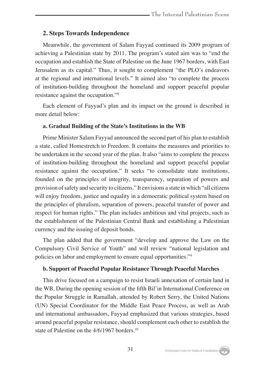# **2. Steps Towards Independence**

Meanwhile, the government of Salam Fayyad continued its 2009 program of achieving a Palestinian state by 2011. The program's stated aim was to "end the occupation and establish the State of Palestine on the June 1967 borders, with East Jerusalem as its capital." Thus, it sought to complement "the PLO's endeavors at the regional and international levels." It aimed also "to complete the process of institution-building throughout the homeland and support peaceful popular resistance against the occupation."8

Each element of Fayyad's plan and its impact on the ground is described in more detail below:

#### **a. Gradual Building of the State's Institutions in the WB**

Prime Minister Salam Fayyad announced the second part of his plan to establish a state, called Homestretch to Freedom. It contains the measures and priorities to be undertaken in the second year of the plan. It also "aims to complete the process of institution-building throughout the homeland and support peaceful popular resistance against the occupation." It seeks "to consolidate state institutions, founded on the principles of integrity, transparency, separation of powers and provision of safety and security to citizens." It envisions a state in which "all citizens will enjoy freedom, justice and equality in a democratic political system based on the principles of pluralism, separation of powers, peaceful transfer of power and respect for human rights." The plan includes ambitious and vital projects, such as the establishment of the Palestinian Central Bank and establishing a Palestinian currency and the issuing of deposit bonds.

The plan added that the government "develop and approve the Law on the Compulsory Civil Service of Youth" and will review "national legislation and policies on labor and employment to ensure equal opportunities."<sup>9</sup>

#### **b. Support of Peaceful Popular Resistance Through Peaceful Marches**

This drive focused on a campaign to resist Israeli annexation of certain land in the WB. During the opening session of the fifth Bil'in International Conference on the Popular Struggle in Ramallah, attended by Robert Serry, the United Nations (UN) Special Coordinator for the Middle East Peace Process, as well as Arab and international ambassadors, Fayyad emphasized that various strategies, based around peaceful popular resistance, should complement each other to establish the state of Palestine on the 4/6/1967 borders.<sup>10</sup>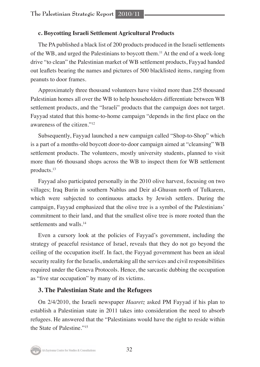# **c. Boycotting Israeli Settlement Agricultural Products**

The PA published a black list of 200 products produced in the Israeli settlements of the WB, and urged the Palestinians to boycott them.11 At the end of a week-long drive "to clean" the Palestinian market of WB settlement products, Fayyad handed out leaflets bearing the names and pictures of 500 blacklisted items, ranging from peanuts to door frames.

Approximately three thousand volunteers have visited more than 255 thousand Palestinian homes all over the WB to help householders differentiate between WB settlement products, and the "Israeli" products that the campaign does not target. Fayyad stated that this home-to-home campaign "depends in the first place on the awareness of the citizen."12

Subsequently, Fayyad launched a new campaign called "Shop-to-Shop" which is a part of a months-old boycott door-to-door campaign aimed at "cleansing" WB settlement products. The volunteers, mostly university students, planned to visit more than 66 thousand shops across the WB to inspect them for WB settlement products.13

Fayyad also participated personally in the 2010 olive harvest, focusing on two villages; Iraq Burin in southern Nablus and Deir al-Ghusun north of Tulkarem, which were subjected to continuous attacks by Jewish settlers. During the campaign, Fayyad emphasized that the olive tree is a symbol of the Palestinians' commitment to their land, and that the smallest olive tree is more rooted than the settlements and walls.<sup>14</sup>

Even a cursory look at the policies of Fayyad's government, including the strategy of peaceful resistance of Israel, reveals that they do not go beyond the ceiling of the occupation itself. In fact, the Fayyad government has been an ideal security reality for the Israelis, undertaking all the services and civil responsibilities required under the Geneva Protocols. Hence, the sarcastic dubbing the occupation as "five star occupation" by many of its victims.

# **3. The Palestinian State and the Refugees**

On 2/4/2010, the Israeli newspaper *Haaretz* asked PM Fayyad if his plan to establish a Palestinian state in 2011 takes into consideration the need to absorb refugees. He answered that the "Palestinians would have the right to reside within the State of Palestine."15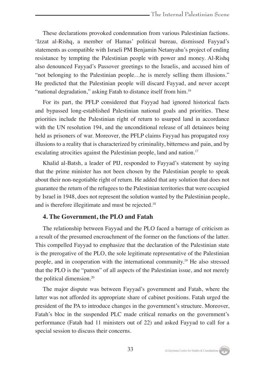These declarations provoked condemnation from various Palestinian factions. 'Izzat al-Rishq, a member of Hamas' political bureau, dismissed Fayyad's statements as compatible with Israeli PM Benjamin Netanyahu's project of ending resistance by tempting the Palestinian people with power and money. Al-Rishq also denounced Fayyad's Passover greetings to the Israelis, and accused him of "not belonging to the Palestinian people…he is merely selling them illusions." He predicted that the Palestinian people will discard Fayyad, and never accept "national degradation," asking Fatah to distance itself from him.<sup>16</sup>

For its part, the PFLP considered that Fayyad had ignored historical facts and bypassed long-established Palestinian national goals and priorities. These priorities include the Palestinian right of return to usurped land in accordance with the UN resolution 194, and the unconditional release of all detainees being held as prisoners of war. Moreover, the PFLP claims Fayyad has propagated rosy illusions to a reality that is characterized by criminality, bitterness and pain, and by escalating atrocities against the Palestinian people, land and nation.<sup>17</sup>

Khalid al-Batsh, a leader of PIJ, responded to Fayyad's statement by saying that the prime minister has not been chosen by the Palestinian people to speak about their non-negotiable right of return. He added that any solution that does not guarantee the return of the refugees to the Palestinian territories that were occupied by Israel in 1948, does not represent the solution wanted by the Palestinian people, and is therefore illegitimate and must be rejected.18

# **4. The Government, the PLO and Fatah**

The relationship between Fayyad and the PLO faced a barrage of criticism as a result of the presumed encroachment of the former on the functions of the latter. This compelled Fayyad to emphasize that the declaration of the Palestinian state is the prerogative of the PLO, the sole legitimate representative of the Palestinian people, and in cooperation with the international community.19 He also stressed that the PLO is the "patron" of all aspects of the Palestinian issue, and not merely the political dimension.20

The major dispute was between Fayyad's government and Fatah, where the latter was not afforded its appropriate share of cabinet positions. Fatah urged the president of the PA to introduce changes in the government's structure. Moreover, Fatah's bloc in the suspended PLC made critical remarks on the government's performance (Fatah had 11 ministers out of 22) and asked Fayyad to call for a special session to discuss their concerns.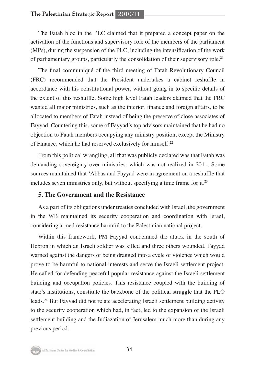The Fatah bloc in the PLC claimed that it prepared a concept paper on the activation of the functions and supervisory role of the members of the parliament (MPs), during the suspension of the PLC, including the intensification of the work of parliamentary groups, particularly the consolidation of their supervisory role.21

The final communiqué of the third meeting of Fatah Revolutionary Council (FRC) recommended that the President undertakes a cabinet reshuffle in accordance with his constitutional power, without going in to specific details of the extent of this reshuffle. Some high level Fatah leaders claimed that the FRC wanted all major ministries, such as the interior, finance and foreign affairs, to be allocated to members of Fatah instead of being the preserve of close associates of Fayyad. Countering this, some of Fayyad's top advisors maintained that he had no objection to Fatah members occupying any ministry position, except the Ministry of Finance, which he had reserved exclusively for himself.<sup>22</sup>

From this political wrangling, all that was publicly declared was that Fatah was demanding sovereignty over ministries, which was not realized in 2011. Some sources maintained that 'Abbas and Fayyad were in agreement on a reshuffle that includes seven ministries only, but without specifying a time frame for it.<sup>23</sup>

### **5. The Government and the Resistance**

As a part of its obligations under treaties concluded with Israel, the government in the WB maintained its security cooperation and coordination with Israel, considering armed resistance harmful to the Palestinian national project.

Within this framework, PM Fayyad condemned the attack in the south of Hebron in which an Israeli soldier was killed and three others wounded. Fayyad warned against the dangers of being dragged into a cycle of violence which would prove to be harmful to national interests and serve the Israeli settlement project. He called for defending peaceful popular resistance against the Israeli settlement building and occupation policies. This resistance coupled with the building of state's institutions, constitute the backbone of the political struggle that the PLO leads.24 But Fayyad did not relate accelerating Israeli settlement building activity to the security cooperation which had, in fact, led to the expansion of the Israeli settlement building and the Judiazation of Jerusalem much more than during any previous period.

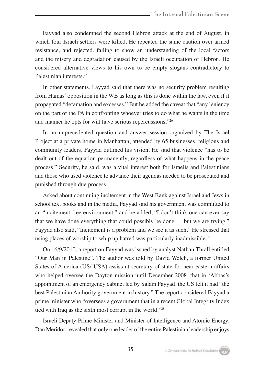Fayyad also condemned the second Hebron attack at the end of August, in which four Israeli settlers were killed. He repeated the same caution over armed resistance, and rejected, failing to show an understanding of the local factors and the misery and degradation caused by the Israeli occupation of Hebron. He considered alternative views to his own to be empty slogans contradictory to Palestinian interests<sup>25</sup>

In other statements, Fayyad said that there was no security problem resulting from Hamas' opposition in the WB as long as this is done within the law, even if it propagated "defamation and excesses." But he added the caveat that "any leniency on the part of the PA in confronting whoever tries to do what he wants in the time and manner he opts for will have serious repercussions."26

In an unprecedented question and answer session organized by The Israel Project at a private home in Manhattan, attended by 65 businesses, religious and community leaders, Fayyad outlined his vision. He said that violence "has to be dealt out of the equation permanently, regardless of what happens in the peace process." Security, he said, was a vital interest both for Israelis and Palestinians and those who used violence to advance their agendas needed to be prosecuted and punished through due process.

Asked about continuing incitement in the West Bank against Israel and Jews in school text books and in the media, Fayyad said his government was committed to an "incitement-free environment." and he added, "I don't think one can ever say that we have done everything that could possibly be done … but we are trying." Fayyad also said, "Incitement is a problem and we see it as such." He stressed that using places of worship to whip up hatred was particularly inadmissible.<sup>27</sup>

On 16/9/2010, a report on Fayyad was issued by analyst Nathan Thrall entitled "Our Man in Palestine". The author was told by David Welch, a former United States of America (US/ USA) assistant secretary of state for near eastern affairs who helped oversee the Dayton mission until December 2008, that in 'Abbas's appointment of an emergency cabinet led by Salam Fayyad, the US felt it had "the best Palestinian Authority government in history." The report considered Fayyad a prime minister who "oversees a government that in a recent Global Integrity Index tied with Iraq as the sixth most corrupt in the world."<sup>28</sup>

Israeli Deputy Prime Minister and Minister of Intelligence and Atomic Energy, Dan Meridor, revealed that only one leader of the entire Palestinian leadership enjoys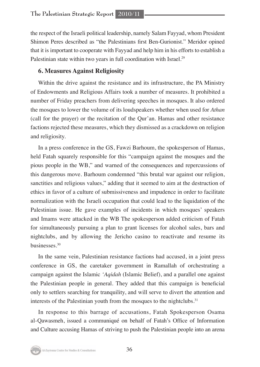the respect of the Israeli political leadership, namely Salam Fayyad, whom President Shimon Peres described as "the Palestinians first Ben-Gurionist." Meridor opined that it is important to cooperate with Fayyad and help him in his efforts to establish a Palestinian state within two years in full coordination with Israel.<sup>29</sup>

# **6. Measures Against Religiosity**

Within the drive against the resistance and its infrastructure, the PA Ministry of Endowments and Religious Affairs took a number of measures. It prohibited a number of Friday preachers from delivering speeches in mosques. It also ordered the mosques to lower the volume of its loudspeakers whether when used for *Athan* (call for the prayer) or the recitation of the Qur'an. Hamas and other resistance factions rejected these measures, which they dismissed as a crackdown on religion and religiosity.

In a press conference in the GS, Fawzi Barhoum, the spokesperson of Hamas, held Fatah squarely responsible for this "campaign against the mosques and the pious people in the WB," and warned of the consequences and repercussions of this dangerous move. Barhoum condemned "this brutal war against our religion, sanctities and religious values," adding that it seemed to aim at the destruction of ethics in favor of a culture of submissiveness and impudence in order to facilitate normalization with the Israeli occupation that could lead to the liquidation of the Palestinian issue. He gave examples of incidents in which mosques' speakers and Imams were attacked in the WB The spokesperson added criticism of Fatah for simultaneously pursuing a plan to grant licenses for alcohol sales, bars and nightclubs, and by allowing the Jericho casino to reactivate and resume its businesses.30

In the same vein, Palestinian resistance factions had accused, in a joint press conference in GS, the caretaker government in Ramallah of orchestrating a campaign against the Islamic *'Aqidah* (Islamic Belief), and a parallel one against the Palestinian people in general. They added that this campaign is beneficial only to settlers searching for tranquility, and will serve to divert the attention and interests of the Palestinian youth from the mosques to the nightclubs.<sup>31</sup>

In response to this barrage of accusations, Fatah Spokesperson Osama al-Qawasmeh, issued a communiqué on behalf of Fatah's Office of Information and Culture accusing Hamas of striving to push the Palestinian people into an arena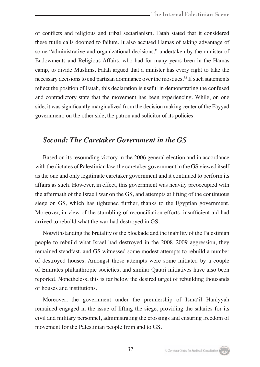of conflicts and religious and tribal sectarianism. Fatah stated that it considered these futile calls doomed to failure. It also accused Hamas of taking advantage of some "administrative and organizational decisions," undertaken by the minister of Endowments and Religious Affairs, who had for many years been in the Hamas camp, to divide Muslims. Fatah argued that a minister has every right to take the necessary decisions to end partisan dominance over the mosques.<sup>32</sup> If such statements reflect the position of Fatah, this declaration is useful in demonstrating the confused and contradictory state that the movement has been experiencing. While, on one side, it was significantly marginalized from the decision making center of the Fayyad government; on the other side, the patron and solicitor of its policies.

# *Second: The Caretaker Government in the GS*

Based on its resounding victory in the 2006 general election and in accordance with the dictates of Palestinian law, the caretaker government in the GS viewed itself as the one and only legitimate caretaker government and it continued to perform its affairs as such. However, in effect, this government was heavily preoccupied with the aftermath of the Israeli war on the GS, and attempts at lifting of the continuous siege on GS, which has tightened further, thanks to the Egyptian government. Moreover, in view of the stumbling of reconciliation efforts, insufficient aid had arrived to rebuild what the war had destroyed in GS.

Notwithstanding the brutality of the blockade and the inability of the Palestinian people to rebuild what Israel had destroyed in the 2008–2009 aggression, they remained steadfast, and GS witnessed some modest attempts to rebuild a number of destroyed houses. Amongst those attempts were some initiated by a couple of Emirates philanthropic societies, and similar Qatari initiatives have also been reported. Nonetheless, this is far below the desired target of rebuilding thousands of houses and institutions.

Moreover, the government under the premiership of Isma'il Haniyyah remained engaged in the issue of lifting the siege, providing the salaries for its civil and military personnel, administrating the crossings and ensuring freedom of movement for the Palestinian people from and to GS.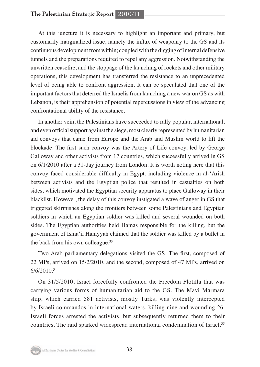At this juncture it is necessary to highlight an important and primary, but customarily marginalized issue, namely the influx of weaponry to the GS and its continuous development from within; coupled with the digging of internal defensive tunnels and the preparations required to repel any aggression. Notwithstanding the unwritten ceasefire, and the stoppage of the launching of rockets and other military operations, this development has transferred the resistance to an unprecedented level of being able to confront aggression. It can be speculated that one of the important factors that deterred the Israelis from launching a new war on GS as with Lebanon, is their apprehension of potential repercussions in view of the advancing confrontational ability of the resistance.

In another vein, the Palestinians have succeeded to rally popular, international, and even official support against the siege, most clearly represented by humanitarian aid convoys that came from Europe and the Arab and Muslim world to lift the blockade. The first such convoy was the Artery of Life convoy, led by George Galloway and other activists from 17 countries, which successfully arrived in GS on 6/1/2010 after a 31-day journey from London. It is worth noting here that this convoy faced considerable difficulty in Egypt, including violence in al-'Arish between activists and the Egyptian police that resulted in casualties on both sides, which motivated the Egyptian security apparatus to place Galloway in their blacklist. However, the delay of this convoy instigated a wave of anger in GS that triggered skirmishes along the frontiers between some Palestinians and Egyptian soldiers in which an Egyptian soldier was killed and several wounded on both sides. The Egyptian authorities held Hamas responsible for the killing, but the government of Isma'il Haniyyah claimed that the soldier was killed by a bullet in the back from his own colleague.<sup>33</sup>

Two Arab parliamentary delegations visited the GS. The first, composed of 22 MPs, arrived on 15/2/2010, and the second, composed of 47 MPs, arrived on 6/6/2010.34

On 31/5/2010, Israel forcefully confronted the Freedom Flotilla that was carrying various forms of humanitarian aid to the GS. The Mavi Marmara ship, which carried 581 activists, mostly Turks, was violently intercepted by Israeli commandos in international waters, killing nine and wounding 26. Israeli forces arrested the activists, but subsequently returned them to their countries. The raid sparked widespread international condemnation of Israel.35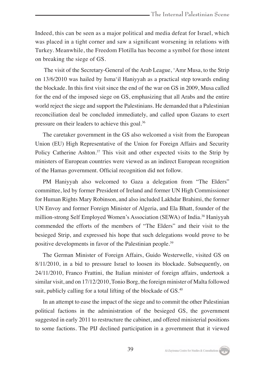Indeed, this can be seen as a major political and media defeat for Israel, which was placed in a tight corner and saw a significant worsening in relations with Turkey. Meanwhile, the Freedom Flotilla has become a symbol for those intent on breaking the siege of GS.

 The visit of the Secretary-General of the Arab League, 'Amr Musa, to the Strip on 13/6/2010 was hailed by Isma'il Haniyyah as a practical step towards ending the blockade. In this first visit since the end of the war on GS in 2009, Musa called for the end of the imposed siege on GS, emphasizing that all Arabs and the entire world reject the siege and support the Palestinians. He demanded that a Palestinian reconciliation deal be concluded immediately, and called upon Gazans to exert pressure on their leaders to achieve this goal.36

The caretaker government in the GS also welcomed a visit from the European Union (EU) High Representative of the Union for Foreign Affairs and Security Policy Catherine Ashton.<sup>37</sup> This visit and other expected visits to the Strip by ministers of European countries were viewed as an indirect European recognition of the Hamas government. Official recognition did not follow.

PM Haniyyah also welcomed to Gaza a delegation from "The Elders" committee, led by former President of Ireland and former UN High Commissioner for Human Rights Mary Robinson, and also included Lakhdar Brahimi, the former UN Envoy and former Foreign Minister of Algeria, and Ela Bhatt, founder of the million-strong Self Employed Women's Association (SEWA) of India.38 Haniyyah commended the efforts of the members of "The Elders" and their visit to the besieged Strip, and expressed his hope that such delegations would prove to be positive developments in favor of the Palestinian people.39

The German Minister of Foreign Affairs, Guido Westerwelle, visited GS on 8/11/2010, in a bid to pressure Israel to loosen its blockade. Subsequently, on 24/11/2010, Franco Frattini, the Italian minister of foreign affairs, undertook a similar visit, and on 17/12/2010, Tonio Borg, the foreign minister of Malta followed suit, publicly calling for a total lifting of the blockade of GS.<sup>40</sup>

In an attempt to ease the impact of the siege and to commit the other Palestinian political factions in the administration of the besieged GS, the government suggested in early 2011 to restructure the cabinet, and offered ministerial positions to some factions. The PIJ declined participation in a government that it viewed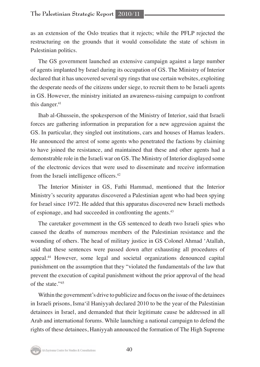as an extension of the Oslo treaties that it rejects; while the PFLP rejected the restructuring on the grounds that it would consolidate the state of schism in Palestinian politics.

The GS government launched an extensive campaign against a large number of agents implanted by Israel during its occupation of GS. The Ministry of Interior declared that it has uncovered several spy rings that use certain websites, exploiting the desperate needs of the citizens under siege, to recruit them to be Israeli agents in GS. However, the ministry initiated an awareness-raising campaign to confront this danger. $41$ 

Ihab al-Ghussein, the spokesperson of the Ministry of Interior, said that Israeli forces are gathering information in preparation for a new aggression against the GS. In particular, they singled out institutions, cars and houses of Hamas leaders. He announced the arrest of some agents who penetrated the factions by claiming to have joined the resistance, and maintained that these and other agents had a demonstrable role in the Israeli war on GS. The Ministry of Interior displayed some of the electronic devices that were used to disseminate and receive information from the Israeli intelligence officers.<sup>42</sup>

The Interior Minister in GS, Fathi Hammad, mentioned that the Interior Ministry's security apparatus discovered a Palestinian agent who had been spying for Israel since 1972. He added that this apparatus discovered new Israeli methods of espionage, and had succeeded in confronting the agents.<sup>43</sup>

The caretaker government in the GS sentenced to death two Israeli spies who caused the deaths of numerous members of the Palestinian resistance and the wounding of others. The head of military justice in GS Colonel Ahmad 'Atallah, said that these sentences were passed down after exhausting all procedures of appeal.44 However, some legal and societal organizations denounced capital punishment on the assumption that they "violated the fundamentals of the law that prevent the execution of capital punishment without the prior approval of the head of the state."45

Within the government's drive to publicize and focus on the issue of the detainees in Israeli prisons, Isma'il Haniyyah declared 2010 to be the year of the Palestinian detainees in Israel, and demanded that their legitimate cause be addressed in all Arab and international forums. While launching a national campaign to defend the rights of these detainees, Haniyyah announced the formation of The High Supreme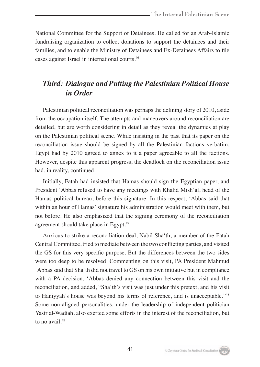National Committee for the Support of Detainees. He called for an Arab-Islamic fundraising organization to collect donations to support the detainees and their families, and to enable the Ministry of Detainees and Ex-Detainees Affairs to file cases against Israel in international courts.46

# *Third: Dialogue and Putting the Palestinian Political House in Order*

Palestinian political reconciliation was perhaps the defining story of 2010, aside from the occupation itself. The attempts and maneuvers around reconciliation are detailed, but are worth considering in detail as they reveal the dynamics at play on the Palestinian political scene. While insisting in the past that its paper on the reconciliation issue should be signed by all the Palestinian factions verbatim, Egypt had by 2010 agreed to annex to it a paper agreeable to all the factions. However, despite this apparent progress, the deadlock on the reconciliation issue had, in reality, continued.

Initially, Fatah had insisted that Hamas should sign the Egyptian paper, and President 'Abbas refused to have any meetings with Khalid Mish'al, head of the Hamas political bureau, before this signature. In this respect, 'Abbas said that within an hour of Hamas' signature his administration would meet with them, but not before. He also emphasized that the signing ceremony of the reconciliation agreement should take place in Egypt.<sup>47</sup>

Anxious to strike a reconciliation deal, Nabil Sha'th, a member of the Fatah Central Committee, tried to mediate between the two conflicting parties, and visited the GS for this very specific purpose. But the differences between the two sides were too deep to be resolved. Commenting on this visit, PA President Mahmud 'Abbas said that Sha'th did not travel to GS on his own initiative but in compliance with a PA decision. 'Abbas denied any connection between this visit and the reconciliation, and added, "Sha'th's visit was just under this pretext, and his visit to Haniyyah's house was beyond his terms of reference, and is unacceptable."48 Some non-aligned personalities, under the leadership of independent politician Yasir al-Wadiah, also exerted some efforts in the interest of the reconciliation, but to no avail.49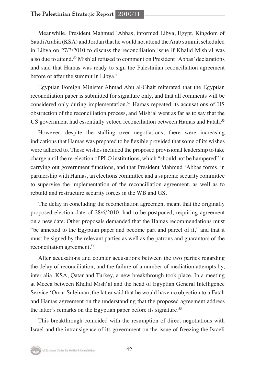Meanwhile, President Mahmud 'Abbas, informed Libya, Egypt, Kingdom of Saudi Arabia (KSA) and Jordan that he would not attend the Arab summit scheduled in Libya on 27/3/2010 to discuss the reconciliation issue if Khalid Mish'al was also due to attend.50 Mish'al refused to comment on President 'Abbas' declarations and said that Hamas was ready to sign the Palestinian reconciliation agreement before or after the summit in Libya.<sup>51</sup>

Egyptian Foreign Minister Ahmad Abu al-Ghait reiterated that the Egyptian reconciliation paper is submitted for signature only, and that all comments will be considered only during implementation.<sup>52</sup> Hamas repeated its accusations of US obstruction of the reconciliation process, and Mish'al went as far as to say that the US government had essentially vetoed reconciliation between Hamas and Fatah.53

However, despite the stalling over negotiations, there were increasing indications that Hamas was prepared to be flexible provided that some of its wishes were adhered to. These wishes included the proposed provisional leadership to take charge until the re-election of PLO institutions, which "should not be hampered" in carrying out government functions, and that President Mahmud 'Abbas forms, in partnership with Hamas, an elections committee and a supreme security committee to supervise the implementation of the reconciliation agreement, as well as to rebuild and restructure security forces in the WB and GS.

The delay in concluding the reconciliation agreement meant that the originally proposed election date of 28/6/2010, had to be postponed, requiring agreement on a new date. Other proposals demanded that the Hamas recommendations must "be annexed to the Egyptian paper and become part and parcel of it," and that it must be signed by the relevant parties as well as the patrons and guarantors of the reconciliation agreement.54

After accusations and counter accusations between the two parties regarding the delay of reconciliation, and the failure of a number of mediation attempts by, inter alia, KSA, Qatar and Turkey, a new breakthrough took place. In a meeting at Mecca between Khalid Mish'al and the head of Egyptian General Intelligence Service 'Omar Suleiman, the latter said that he would have no objection to a Fatah and Hamas agreement on the understanding that the proposed agreement address the latter's remarks on the Egyptian paper before its signature.<sup>55</sup>

This breakthrough coincided with the resumption of direct negotiations with Israel and the intransigence of its government on the issue of freezing the Israeli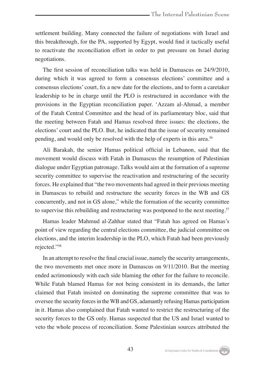settlement building. Many connected the failure of negotiations with Israel and this breakthrough, for the PA, supported by Egypt, would find it tactically useful to reactivate the reconciliation effort in order to put pressure on Israel during negotiations.

The first session of reconciliation talks was held in Damascus on 24/9/2010, during which it was agreed to form a consensus elections' committee and a consensus elections' court, fix a new date for the elections, and to form a caretaker leadership to be in charge until the PLO is restructured in accordance with the provisions in the Egyptian reconciliation paper. 'Azzam al-Ahmad, a member of the Fatah Central Committee and the head of its parliamentary bloc, said that the meeting between Fatah and Hamas resolved three issues: the elections, the elections' court and the PLO. But, he indicated that the issue of security remained pending, and would only be resolved with the help of experts in this area.56

Ali Barakah, the senior Hamas political official in Lebanon, said that the movement would discuss with Fatah in Damascus the resumption of Palestinian dialogue under Egyptian patronage. Talks would aim at the formation of a supreme security committee to supervise the reactivation and restructuring of the security forces. He explained that "the two movements had agreed in their previous meeting in Damascus to rebuild and restructure the security forces in the WB and GS concurrently, and not in GS alone," while the formation of the security committee to supervise this rebuilding and restructuring was postponed to the next meeting.<sup>57</sup>

Hamas leader Mahmud al-Zahhar stated that "Fatah has agreed on Hamas's point of view regarding the central elections committee, the judicial committee on elections, and the interim leadership in the PLO, which Fatah had been previously rejected."58

In an attempt to resolve the final crucial issue, namely the security arrangements, the two movements met once more in Damascus on 9/11/2010. But the meeting ended acrimoniously with each side blaming the other for the failure to reconcile. While Fatah blamed Hamas for not being consistent in its demands, the latter claimed that Fatah insisted on dominating the supreme committee that was to oversee the security forces in the WB and GS, adamantly refusing Hamas participation in it. Hamas also complained that Fatah wanted to restrict the restructuring of the security forces to the GS only. Hamas suspected that the US and Israel wanted to veto the whole process of reconciliation. Some Palestinian sources attributed the

Al-Zaytouna Centre for Studies & Consultations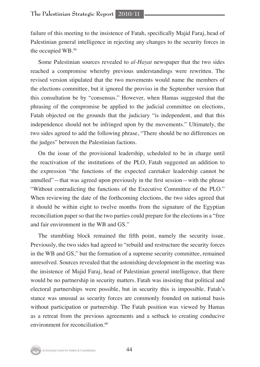failure of this meeting to the insistence of Fatah, specifically Majid Faraj, head of Palestinian general intelligence in rejecting any changes to the security forces in the occupied WB.59

Some Palestinian sources revealed to *al-Hayat* newspaper that the two sides reached a compromise whereby previous understandings were rewritten. The revised version stipulated that the two movements would name the members of the elections committee, but it ignored the proviso in the September version that this consultation be by "consensus." However, when Hamas suggested that the phrasing of the compromise be applied to the judicial committee on elections, Fatah objected on the grounds that the judiciary "is independent, and that this independence should not be infringed upon by the movements." Ultimately, the two sides agreed to add the following phrase, "There should be no differences on the judges" between the Palestinian factions.

On the issue of the provisional leadership, scheduled to be in charge until the reactivation of the institutions of the PLO, Fatah suggested an addition to the expression "the functions of the expected caretaker leadership cannot be annulled"—that was agreed upon previously in the first session—with the phrase "Without contradicting the functions of the Executive Committee of the PLO." When reviewing the date of the forthcoming elections, the two sides agreed that it should be within eight to twelve months from the signature of the Egyptian reconciliation paper so that the two parties could prepare for the elections in a "free and fair environment in the WB and GS."

The stumbling block remained the fifth point, namely the security issue. Previously, the two sides had agreed to "rebuild and restructure the security forces in the WB and GS," but the formation of a supreme security committee, remained unresolved. Sources revealed that the astonishing development in the meeting was the insistence of Majid Faraj, head of Palestinian general intelligence, that there would be no partnership in security matters. Fatah was insisting that political and electoral partnerships were possible, but in security this is impossible. Fatah's stance was unusual as security forces are commonly founded on national basis without participation or partnership. The Fatah position was viewed by Hamas as a retreat from the previous agreements and a setback to creating conducive environment for reconciliation.<sup>60</sup>

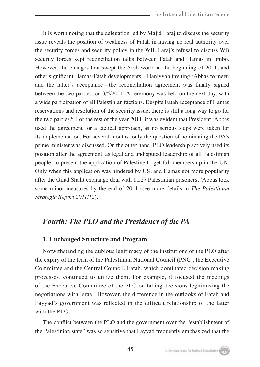It is worth noting that the delegation led by Majid Faraj to discuss the security issue reveals the position of weakness of Fatah in having no real authority over the security forces and security policy in the WB. Faraj's refusal to discuss WB security forces kept reconciliation talks between Fatah and Hamas in limbo. However, the changes that swept the Arab world at the beginning of 2011, and other significant Hamas-Fatah developments—Haniyyah inviting 'Abbas to meet, and the latter's acceptance—the reconciliation agreement was finally signed between the two parties, on 3/5/2011. A ceremony was held on the next day, with a wide participation of all Palestinian factions. Despite Fatah acceptance of Hamas reservations and resolution of the security issue, there is still a long way to go for the two parties.61 For the rest of the year 2011, it was evident that President 'Abbas used the agreement for a tactical approach, as no serious steps were taken for its implementation. For several months, only the question of nominating the PA's prime minister was discussed. On the other hand, PLO leadership actively used its position after the agreement, as legal and undisputed leadership of all Palestinian people, to present the application of Palestine to get full membership in the UN. Only when this application was hindered by US, and Hamas got more popularity after the Gilad Shalit exchange deal with 1,027 Palestinian prisoners, 'Abbas took some minor measures by the end of 2011 (see more details in *The Palestinian Strategic Report 2011/12*).

# *Fourth: The PLO and the Presidency of the PA*

# **1. Unchanged Structure and Program**

Notwithstanding the dubious legitimacy of the institutions of the PLO after the expiry of the term of the Palestinian National Council (PNC), the Executive Committee and the Central Council, Fatah, which dominated decision making processes, continued to utilize them. For example, it focused the meetings of the Executive Committee of the PLO on taking decisions legitimizing the negotiations with Israel. However, the difference in the outlooks of Fatah and Fayyad's government was reflected in the difficult relationship of the latter with the PLO.

The conflict between the PLO and the government over the "establishment of the Palestinian state" was so sensitive that Fayyad frequently emphasized that the

Al-Zaytouna Centre for Studies & Consultations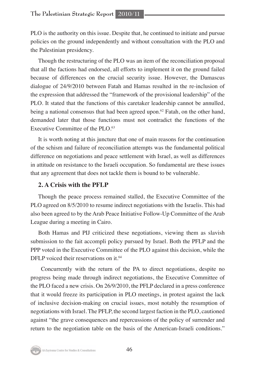PLO is the authority on this issue. Despite that, he continued to initiate and pursue policies on the ground independently and without consultation with the PLO and the Palestinian presidency.

Though the restructuring of the PLO was an item of the reconciliation proposal that all the factions had endorsed, all efforts to implement it on the ground failed because of differences on the crucial security issue. However, the Damascus dialogue of 24/9/2010 between Fatah and Hamas resulted in the re-inclusion of the expression that addressed the "framework of the provisional leadership" of the PLO. It stated that the functions of this caretaker leadership cannot be annulled, being a national consensus that had been agreed upon.<sup>62</sup> Fatah, on the other hand, demanded later that those functions must not contradict the functions of the Executive Committee of the PLO. $63$ 

It is worth noting at this juncture that one of main reasons for the continuation of the schism and failure of reconciliation attempts was the fundamental political difference on negotiations and peace settlement with Israel, as well as differences in attitude on resistance to the Israeli occupation. So fundamental are these issues that any agreement that does not tackle them is bound to be vulnerable.

# **2. A Crisis with the PFLP**

Though the peace process remained stalled, the Executive Committee of the PLO agreed on 8/5/2010 to resume indirect negotiations with the Israelis. This had also been agreed to by the Arab Peace Initiative Follow-Up Committee of the Arab League during a meeting in Cairo.

Both Hamas and PIJ criticized these negotiations, viewing them as slavish submission to the fait accompli policy pursued by Israel. Both the PFLP and the PPP voted in the Executive Committee of the PLO against this decision, while the DFLP voiced their reservations on it.<sup>64</sup>

 Concurrently with the return of the PA to direct negotiations, despite no progress being made through indirect negotiations, the Executive Committee of the PLO faced a new crisis. On 26/9/2010, the PFLP declared in a press conference that it would freeze its participation in PLO meetings, in protest against the lack of inclusive decision-making on crucial issues, most notably the resumption of negotiations with Israel. The PFLP, the second largest faction in the PLO, cautioned against "the grave consequences and repercussions of the policy of surrender and return to the negotiation table on the basis of the American-Israeli conditions."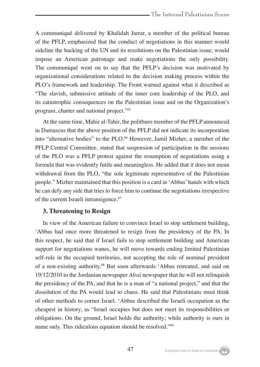A communiqué delivered by Khalidah Jarrar, a member of the political bureau of the PFLP, emphasized that the conduct of negotiations in this manner would sideline the backing of the UN and its resolutions on the Palestinian issue; would impose an American patronage and make negotiations the only possibility. The communiqué went on to say that the PFLP's decision was motivated by organizational considerations related to the decision making process within the PLO's framework and leadership. The Front warned against what it described as "The slavish, submissive attitude of the inner core leadership of the PLO, and its catastrophic consequences on the Palestinian issue and on the Organization's program, charter and national project."65

At the same time, Mahir al-Tahir, the politburo member of the PFLP announced in Damascus that the above position of the PFLP did not indicate its incorporation into "alternative bodies" to the PLO.<sup>66</sup> However, Jamil Mizher, a member of the PFLP Central Committee, stated that suspension of participation in the sessions of the PLO was a PFLP protest against the resumption of negotiations using a formula that was evidently futile and meaningless. He added that it does not mean withdrawal from the PLO, "the sole legitimate representative of the Palestinian people." Mizher maintained that this position is a card in 'Abbas' hands with which he can defy any side that tries to force him to continue the negotiations irrespective of the current Israeli intransigence.<sup>67</sup>

#### **3. Threatening to Resign**

In view of the American failure to convince Israel to stop settlement building, 'Abbas had once more threatened to resign from the presidency of the PA. In this respect, he said that if Israel fails to stop settlement building and American support for negotiations wanes, he will move towards ending limited Palestinian self-rule in the occupied territories, not accepting the role of nominal president of a non-existing authority.68 But soon afterwards 'Abbas retreated, and said on 19/12/2010 to the Jordanian newspaper *Alrai* newspaper that he will not relinquish the presidency of the PA, and that he is a man of "a national project," and that the dissolution of the PA would lead to chaos. He said that Palestinians must think of other methods to corner Israel. 'Abbas described the Israeli occupation as the cheapest in history, as "Israel occupies but does not meet its responsibilities or obligations. On the ground, Israel holds the authority; while authority is ours in name only. This ridiculous equation should be resolved."69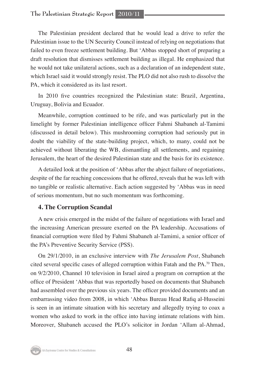The Palestinian president declared that he would lead a drive to refer the Palestinian issue to the UN Security Council instead of relying on negotiations that failed to even freeze settlement building. But 'Abbas stopped short of preparing a draft resolution that dismisses settlement building as illegal. He emphasized that he would not take unilateral actions, such as a declaration of an independent state, which Israel said it would strongly resist. The PLO did not also rush to dissolve the PA, which it considered as its last resort.

In 2010 five countries recognized the Palestinian state: Brazil, Argentina, Uruguay, Bolivia and Ecuador.

Meanwhile, corruption continued to be rife, and was particularly put in the limelight by former Palestinian intelligence officer Fahmi Shabaneh al-Tamimi (discussed in detail below). This mushrooming corruption had seriously put in doubt the viability of the state-building project, which, to many, could not be achieved without liberating the WB, dismantling all settlements, and regaining Jerusalem, the heart of the desired Palestinian state and the basis for its existence.

A detailed look at the position of 'Abbas after the abject failure of negotiations, despite of the far reaching concessions that he offered, reveals that he was left with no tangible or realistic alternative. Each action suggested by 'Abbas was in need of serious momentum, but no such momentum was forthcoming.

# **4. The Corruption Scandal**

A new crisis emerged in the midst of the failure of negotiations with Israel and the increasing American pressure exerted on the PA leadership. Accusations of financial corruption were filed by Fahmi Shabaneh al-Tamimi, a senior officer of the PA's Preventive Security Service (PSS).

On 29/1/2010, in an exclusive interview with *The Jerusalem Post*, Shabaneh cited several specific cases of alleged corruption within Fatah and the PA.70 Then, on 9/2/2010, Channel 10 television in Israel aired a program on corruption at the office of President 'Abbas that was reportedly based on documents that Shabaneh had assembled over the previous six years. The officer provided documents and an embarrassing video from 2008, in which 'Abbas Bureau Head Rafiq al-Husseini is seen in an intimate situation with his secretary and allegedly trying to coax a women who asked to work in the office into having intimate relations with him. Moreover, Shabaneh accused the PLO's solicitor in Jordan 'Allam al-Ahmad,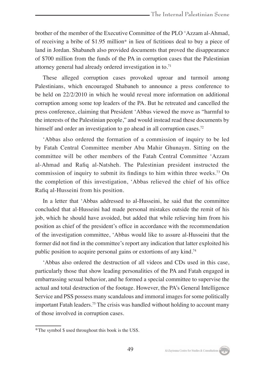brother of the member of the Executive Committee of the PLO 'Azzam al-Ahmad, of receiving a bribe of \$1.95 million\* in lieu of fictitious deal to buy a piece of land in Jordan. Shabaneh also provided documents that proved the disappearance of \$700 million from the funds of the PA in corruption cases that the Palestinian attorney general had already ordered investigation in to.71

These alleged corruption cases provoked uproar and turmoil among Palestinians, which encouraged Shabaneh to announce a press conference to be held on 22/2/2010 in which he would reveal more information on additional corruption among some top leaders of the PA. But he retreated and cancelled the press conference, claiming that President 'Abbas viewed the move as "harmful to the interests of the Palestinian people," and would instead read these documents by himself and order an investigation to go ahead in all corruption cases.<sup>72</sup>

'Abbas also ordered the formation of a commission of inquiry to be led by Fatah Central Committee member Abu Mahir Ghunaym. Sitting on the committee will be other members of the Fatah Central Committee 'Azzam al-Ahmad and Rafiq al-Natsheh. The Palestinian president instructed the commission of inquiry to submit its findings to him within three weeks.<sup>73</sup> On the completion of this investigation, 'Abbas relieved the chief of his office Rafiq al-Husseini from his position.

In a letter that 'Abbas addressed to al-Husseini, he said that the committee concluded that al-Husseini had made personal mistakes outside the remit of his job, which he should have avoided, but added that while relieving him from his position as chief of the president's office in accordance with the recommendation of the investigation committee, 'Abbas would like to assure al-Husseini that the former did not find in the committee's report any indication that latter exploited his public position to acquire personal gains or extortions of any kind.<sup>74</sup>

'Abbas also ordered the destruction of all videos and CDs used in this case, particularly those that show leading personalities of the PA and Fatah engaged in embarrassing sexual behavior, and he formed a special committee to supervise the actual and total destruction of the footage. However, the PA's General Intelligence Service and PSS possess many scandalous and immoral images for some politically important Fatah leaders.75 The crisis was handled without holding to account many of those involved in corruption cases.

<sup>\*</sup>The symbol \$ used throughout this book is the US\$.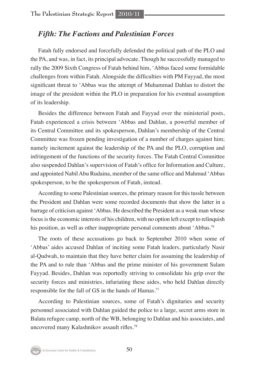# *Fifth: The Factions and Palestinian Forces*

Fatah fully endorsed and forcefully defended the political path of the PLO and the PA, and was, in fact, its principal advocate. Though he successfully managed to rally the 2009 Sixth Congress of Fatah behind him, 'Abbas faced some formidable challenges from within Fatah. Alongside the difficulties with PM Fayyad, the most significant threat to 'Abbas was the attempt of Muhammad Dahlan to distort the image of the president within the PLO in preparation for his eventual assumption of its leadership.

Besides the difference between Fatah and Fayyad over the ministerial posts, Fatah experienced a crisis between 'Abbas and Dahlan, a powerful member of its Central Committee and its spokesperson, Dahlan's membership of the Central Committee was frozen pending investigation of a number of charges against him; namely incitement against the leadership of the PA and the PLO, corruption and infringement of the functions of the security forces. The Fatah Central Committee also suspended Dahlan's supervision of Fatah's office for Information and Culture, and appointed Nabil Abu Rudaina, member of the same office and Mahmud 'Abbas spokesperson, to be the spokesperson of Fatah, instead.

According to some Palestinian sources, the primary reason for this tussle between the President and Dahlan were some recorded documents that show the latter in a barrage of criticism against 'Abbas. He described the President as a weak man whose focus is the economic interests of his children, with no option left except to relinquish his position, as well as other inappropriate personal comments about 'Abbas.<sup>76</sup>

The roots of these accusations go back to September 2010 when some of 'Abbas' aides accused Dahlan of inciting some Fatah leaders, particularly Nasir al-Qudwah, to maintain that they have better claim for assuming the leadership of the PA and to rule than 'Abbas and the prime minister of his government Salam Fayyad. Besides, Dahlan was reportedly striving to consolidate his grip over the security forces and ministries, infuriating these aides, who held Dahlan directly responsible for the fall of GS in the hands of Hamas.<sup>77</sup>

According to Palestinian sources, some of Fatah's dignitaries and security personnel associated with Dahlan guided the police to a large, secret arms store in Balata refugee camp, north of the WB, belonging to Dahlan and his associates, and uncovered many Kalashnikov assault rifles.78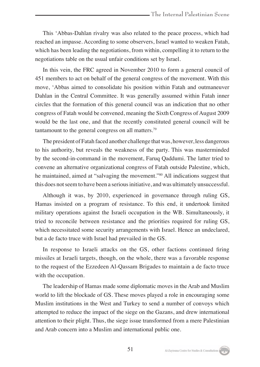This 'Abbas-Dahlan rivalry was also related to the peace process, which had reached an impasse. According to some observers, Israel wanted to weaken Fatah, which has been leading the negotiations, from within, compelling it to return to the negotiations table on the usual unfair conditions set by Israel.

In this vein, the FRC agreed in November 2010 to form a general council of 451 members to act on behalf of the general congress of the movement. With this move, 'Abbas aimed to consolidate his position within Fatah and outmaneuver Dahlan in the Central Committee. It was generally assumed within Fatah inner circles that the formation of this general council was an indication that no other congress of Fatah would be convened, meaning the Sixth Congress of August 2009 would be the last one, and that the recently constituted general council will be tantamount to the general congress on all matters.79

The president of Fatah faced another challenge that was, however, less dangerous to his authority, but reveals the weakness of the party. This was masterminded by the second-in-command in the movement, Faruq Qaddumi. The latter tried to convene an alternative organizational congress of Fatah outside Palestine, which, he maintained, aimed at "salvaging the movement."80 All indications suggest that this does not seem to have been a serious initiative, and was ultimately unsuccessful.

Although it was, by 2010, experienced in governance through ruling GS, Hamas insisted on a program of resistance. To this end, it undertook limited military operations against the Israeli occupation in the WB. Simultaneously, it tried to reconcile between resistance and the priorities required for ruling GS, which necessitated some security arrangements with Israel. Hence an undeclared, but a de facto truce with Israel had prevailed in the GS.

In response to Israeli attacks on the GS, other factions continued firing missiles at Israeli targets, though, on the whole, there was a favorable response to the request of the Ezzedeen Al-Qassam Brigades to maintain a de facto truce with the occupation.

The leadership of Hamas made some diplomatic moves in the Arab and Muslim world to lift the blockade of GS. These moves played a role in encouraging some Muslim institutions in the West and Turkey to send a number of convoys which attempted to reduce the impact of the siege on the Gazans, and drew international attention to their plight. Thus, the siege issue transformed from a mere Palestinian and Arab concern into a Muslim and international public one.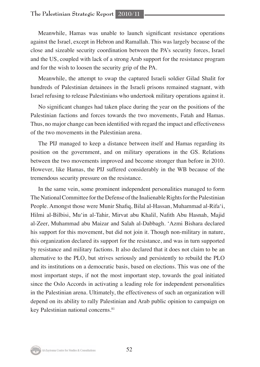# **The Palestinian Strategic Report 2010/11**

Meanwhile, Hamas was unable to launch significant resistance operations against the Israel, except in Hebron and Ramallah. This was largely because of the close and sizeable security coordination between the PA's security forces, Israel and the US, coupled with lack of a strong Arab support for the resistance program and for the wish to loosen the security grip of the PA.

Meanwhile, the attempt to swap the captured Israeli soldier Gilad Shalit for hundreds of Palestinian detainees in the Israeli prisons remained stagnant, with Israel refusing to release Palestinians who undertook military operations against it.

No significant changes had taken place during the year on the positions of the Palestinian factions and forces towards the two movements, Fatah and Hamas. Thus, no major change can been identified with regard the impact and effectiveness of the two movements in the Palestinian arena.

The PIJ managed to keep a distance between itself and Hamas regarding its position on the government, and on military operations in the GS. Relations between the two movements improved and become stronger than before in 2010. However, like Hamas, the PIJ suffered considerably in the WB because of the tremendous security pressure on the resistance.

In the same vein, some prominent independent personalities managed to form The National Committee for the Defense of the Inalienable Rights for the Palestinian People. Amongst those were Munir Shafiq, Bilal al-Hassan, Muhammad al-Rifa'i, Hilmi al-Bilbisi, Mu'in al-Tahir, Mirvat abu Khalil, Nafith Abu Hasnah, Majid al-Zeer, Muhammad abu Maizar and Salah al-Dabbagh. 'Azmi Bishara declared his support for this movement, but did not join it. Though non-military in nature, this organization declared its support for the resistance, and was in turn supported by resistance and military factions. It also declared that it does not claim to be an alternative to the PLO, but strives seriously and persistently to rebuild the PLO and its institutions on a democratic basis, based on elections. This was one of the most important steps, if not the most important step, towards the goal initiated since the Oslo Accords in activating a leading role for independent personalities in the Palestinian arena. Ultimately, the effectiveness of such an organization will depend on its ability to rally Palestinian and Arab public opinion to campaign on key Palestinian national concerns.<sup>81</sup>

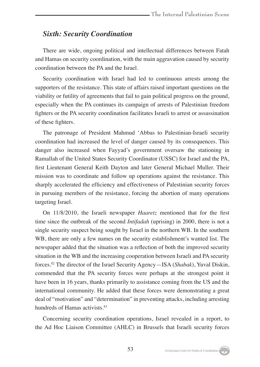# *Sixth: Security Coordination*

There are wide, ongoing political and intellectual differences between Fatah and Hamas on security coordination, with the main aggravation caused by security coordination between the PA and the Israel.

Security coordination with Israel had led to continuous arrests among the supporters of the resistance. This state of affairs raised important questions on the viability or futility of agreements that fail to gain political progress on the ground, especially when the PA continues its campaign of arrests of Palestinian freedom fighters or the PA security coordination facilitates Israeli to arrest or assassination of these fighters.

The patronage of President Mahmud 'Abbas to Palestinian-Israeli security coordination had increased the level of danger caused by its consequences. This danger also increased when Fayyad's government oversaw the stationing in Ramallah of the United States Security Coordinator (USSC) for Israel and the PA, first Lieutenant General Keith Dayton and later General Michael Muller. Their mission was to coordinate and follow up operations against the resistance. This sharply accelerated the efficiency and effectiveness of Palestinian security forces in pursuing members of the resistance, forcing the abortion of many operations targeting Israel.

On 11/8/2010, the Israeli newspaper *Haaretz* mentioned that for the first time since the outbreak of the second *Intifadah* (uprising) in 2000, there is not a single security suspect being sought by Israel in the northern WB. In the southern WB, there are only a few names on the security establishment's wanted list. The newspaper added that the situation was a reflection of both the improved security situation in the WB and the increasing cooperation between Israeli and PA security forces.82 The director of the Israel Security Agency—ISA (*Shabak*), Yuval Diskin, commended that the PA security forces were perhaps at the strongest point it have been in 16 years, thanks primarily to assistance coming from the US and the international community. He added that these forces were demonstrating a great deal of "motivation" and "determination" in preventing attacks, including arresting hundreds of Hamas activists.<sup>83</sup>

Concerning security coordination operations, Israel revealed in a report, to the Ad Hoc Liaison Committee (AHLC) in Brussels that Israeli security forces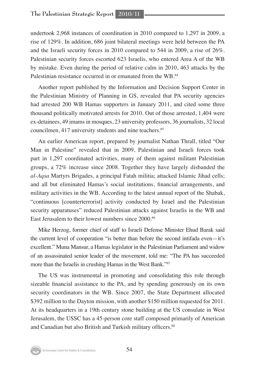undertook 2,968 instances of coordination in 2010 compared to 1,297 in 2009, a rise of 129%. In addition, 686 joint bilateral meetings were held between the PA and the Israeli security forces in 2010 compared to 544 in 2009, a rise of 26%. Palestinian security forces escorted 623 Israelis, who entered Area A of the WB by mistake. Even during the period of relative calm in 2010, 463 attacks by the Palestinian resistance occurred in or emanated from the WB.<sup>84</sup>

Another report published by the Information and Decision Support Center in the Palestinian Ministry of Planning in GS, revealed that PA security agencies had arrested 200 WB Hamas supporters in January 2011, and cited some three thousand politically motivated arrests for 2010. Out of those arrested, 1,404 were ex-detainees, 49 imams in mosques, 23 university professors, 36 journalists, 32 local councilmen, 417 university students and nine teachers.<sup>85</sup>

An earlier American report, prepared by journalist Nathan Thrall, titled "Our Man in Palestine" revealed that in 2009, Palestinian and Israeli forces took part in 1,297 coordinated activities, many of them against militant Palestinian groups, a 72% increase since 2008. Together they have largely disbanded the *al-Aqsa* Martyrs Brigades, a principal Fatah militia; attacked Islamic Jihad cells; and all but eliminated Hamas's social institutions, financial arrangements, and military activities in the WB. According to the latest annual report of the Shabak, "continuous [counterterrorist] activity conducted by Israel and the Palestinian security apparatuses" reduced Palestinian attacks against Israelis in the WB and East Jerusalem to their lowest numbers since 2000.86

Mike Herzog, former chief of staff to Israeli Defense Minister Ehud Barak said the current level of cooperation "is better than before the second intifada even—it's excellent." Muna Mansur, a Hamas legislator in the Palestinian Parliament and widow of an assassinated senior leader of the movement, told me: "The PA has succeeded more than the Israelis in crushing Hamas in the West Bank."<sup>87</sup>

The US was instrumental in promoting and consolidating this role through sizeable financial assistance to the PA, and by spending generously on its own security coordinators in the WB. Since 2007, the State Department allocated \$392 million to the Dayton mission, with another \$150 million requested for 2011. At its headquarters in a 19th century stone building at the US consulate in West Jerusalem, the USSC has a 45-person core staff composed primarily of American and Canadian but also British and Turkish military officers.<sup>88</sup>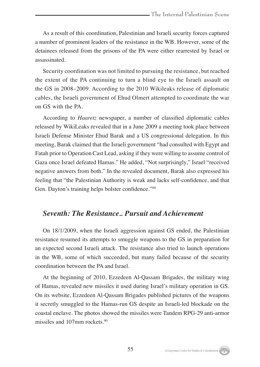As a result of this coordination, Palestinian and Israeli security forces captured a number of prominent leaders of the resistance in the WB. However, some of the detainees released from the prisons of the PA were either rearrested by Israel or assassinated.

Security coordination was not limited to pursuing the resistance, but reached the extent of the PA continuing to turn a blind eye to the Israeli assault on the GS in 2008–2009. According to the 2010 Wikileaks release of diplomatic cables, the Israeli government of Ehud Olmert attempted to coordinate the war on GS with the PA.

According to *Haaretz* newspaper, a number of classified diplomatic cables released by WikiLeaks revealed that in a June 2009 a meeting took place between Israeli Defense Minister Ehud Barak and a US congressional delegation. In this meeting, Barak claimed that the Israeli government "had consulted with Egypt and Fatah prior to Operation Cast Lead, asking if they were willing to assume control of Gaza once Israel defeated Hamas." He added, "Not surprisingly," Israel "received negative answers from both." In the revealed document, Barak also expressed his feeling that "the Palestinian Authority is weak and lacks self-confidence, and that Gen. Dayton's training helps bolster confidence."89

# *Seventh: The Resistance.. Pursuit and Achievement*

On 18/1/2009, when the Israeli aggression against GS ended, the Palestinian resistance resumed its attempts to smuggle weapons to the GS in preparation for an expected second Israeli attack. The resistance also tried to launch operations in the WB, some of which succeeded, but many failed because of the security coordination between the PA and Israel.

At the beginning of 2010, Ezzedeen Al-Qassam Brigades, the military wing of Hamas, revealed new missiles it used during Israel's military operation in GS. On its website, Ezzedeen Al-Qassam Brigades published pictures of the weapons it secretly smuggled to the Hamas-run GS despite an Israeli-led blockade on the coastal enclave. The photos showed the missiles were Tandem RPG-29 anti-armor missiles and 107mm rockets.<sup>90</sup>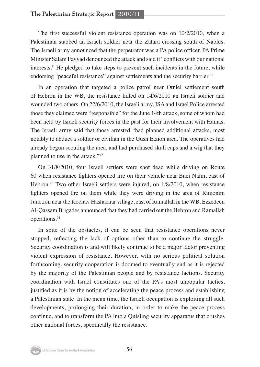The first successful violent resistance operation was on 10/2/2010, when a Palestinian stabbed an Israeli soldier near the Zatara crossing south of Nablus. The Israeli army announced that the perpetrator was a PA police officer. PA Prime Minister Salam Fayyad denounced the attack and said it "conflicts with our national interests." He pledged to take steps to prevent such incidents in the future, while endorsing "peaceful resistance" against settlements and the security barrier.<sup>91</sup>

In an operation that targeted a police patrol near Otniel settlement south of Hebron in the WB, the resistance killed on 14/6/2010 an Israeli soldier and wounded two others. On 22/6/2010, the Israeli army, ISA and Israel Police arrested those they claimed were "responsible" for the June 14th attack, some of whom had been held by Israeli security forces in the past for their involvement with Hamas. The Israeli army said that those arrested "had planned additional attacks, most notably to abduct a soldier or civilian in the Gush Etzion area. The operatives had already begun scouting the area, and had purchased skull caps and a wig that they planned to use in the attack."92

On 31/8/2010, four Israeli settlers were shot dead while driving on Route 60 when resistance fighters opened fire on their vehicle near Bnei Naim, east of Hebron.<sup>93</sup> Two other Israeli settlers were injured, on 1/8/2010, when resistance fighters opened fire on them while they were driving in the area of Rimonim Junction near the Kochav Hashachar village, east of Ramallah in the WB. Ezzedeen Al-Qassam Brigades announced that they had carried out the Hebron and Ramallah operations.94

In spite of the obstacles, it can be seen that resistance operations never stopped, reflecting the lack of options other than to continue the struggle. Security coordination is and will likely continue to be a major factor preventing violent expression of resistance. However, with no serious political solution forthcoming, security cooperation is doomed to eventually end as it is rejected by the majority of the Palestinian people and by resistance factions. Security coordination with Israel constitutes one of the PA's most unpopular tactics, justified as it is by the notion of accelerating the peace process and establishing a Palestinian state. In the mean time, the Israeli occupation is exploiting all such developments, prolonging their duration, in order to make the peace process continue, and to transform the PA into a Quisling security apparatus that crushes other national forces, specifically the resistance.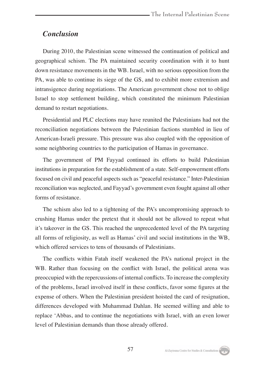# *Conclusion*

During 2010, the Palestinian scene witnessed the continuation of political and geographical schism. The PA maintained security coordination with it to hunt down resistance movements in the WB. Israel, with no serious opposition from the PA, was able to continue its siege of the GS, and to exhibit more extremism and intransigence during negotiations. The American government chose not to oblige Israel to stop settlement building, which constituted the minimum Palestinian demand to restart negotiations.

Presidential and PLC elections may have reunited the Palestinians had not the reconciliation negotiations between the Palestinian factions stumbled in lieu of American-Israeli pressure. This pressure was also coupled with the opposition of some neighboring countries to the participation of Hamas in governance.

The government of PM Fayyad continued its efforts to build Palestinian institutions in preparation for the establishment of a state. Self-empowerment efforts focused on civil and peaceful aspects such as "peaceful resistance." Inter-Palestinian reconciliation was neglected, and Fayyad's government even fought against all other forms of resistance.

The schism also led to a tightening of the PA's uncompromising approach to crushing Hamas under the pretext that it should not be allowed to repeat what it's takeover in the GS. This reached the unprecedented level of the PA targeting all forms of religiosity, as well as Hamas' civil and social institutions in the WB, which offered services to tens of thousands of Palestinians.

The conflicts within Fatah itself weakened the PA's national project in the WB. Rather than focusing on the conflict with Israel, the political arena was preoccupied with the repercussions of internal conflicts. To increase the complexity of the problems, Israel involved itself in these conflicts, favor some figures at the expense of others. When the Palestinian president hoisted the card of resignation, differences developed with Muhammad Dahlan. He seemed willing and able to replace 'Abbas, and to continue the negotiations with Israel, with an even lower level of Palestinian demands than those already offered.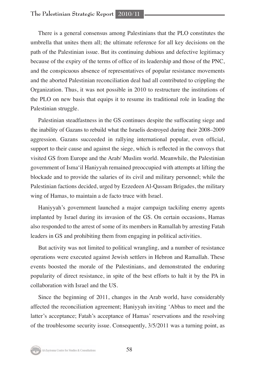There is a general consensus among Palestinians that the PLO constitutes the umbrella that unites them all; the ultimate reference for all key decisions on the path of the Palestinian issue. But its continuing dubious and defective legitimacy because of the expiry of the terms of office of its leadership and those of the PNC, and the conspicuous absence of representatives of popular resistance movements and the aborted Palestinian reconciliation deal had all contributed to crippling the Organization. Thus, it was not possible in 2010 to restructure the institutions of the PLO on new basis that equips it to resume its traditional role in leading the Palestinian struggle.

Palestinian steadfastness in the GS continues despite the suffocating siege and the inability of Gazans to rebuild what the Israelis destroyed during their 2008–2009 aggression. Gazans succeeded in rallying international popular, even official, support to their cause and against the siege, which is reflected in the convoys that visited GS from Europe and the Arab/ Muslim world. Meanwhile, the Palestinian government of Isma'il Haniyyah remained preoccupied with attempts at lifting the blockade and to provide the salaries of its civil and military personnel; while the Palestinian factions decided, urged by Ezzedeen Al-Qassam Brigades, the military wing of Hamas, to maintain a de facto truce with Israel.

Haniyyah's government launched a major campaign tackiling enemy agents implanted by Israel during its invasion of the GS. On certain occasions, Hamas also responded to the arrest of some of its members in Ramallah by arresting Fatah leaders in GS and prohibiting them from engaging in political activities.

But activity was not limited to political wrangling, and a number of resistance operations were executed against Jewish settlers in Hebron and Ramallah. These events boosted the morale of the Palestinians, and demonstrated the enduring popularity of direct resistance, in spite of the best efforts to halt it by the PA in collaboration with Israel and the US.

Since the beginning of 2011, changes in the Arab world, have considerably affected the reconciliation agreement; Haniyyah inviting 'Abbas to meet and the latter's acceptance; Fatah's acceptance of Hamas' reservations and the resolving of the troublesome security issue. Consequently, 3/5/2011 was a turning point, as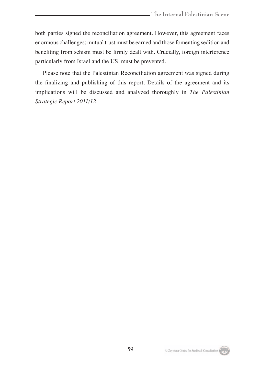both parties signed the reconciliation agreement. However, this agreement faces enormous challenges; mutual trust must be earned and those fomenting sedition and benefiting from schism must be firmly dealt with. Crucially, foreign interference particularly from Israel and the US, must be prevented.

Please note that the Palestinian Reconciliation agreement was signed during the finalizing and publishing of this report. Details of the agreement and its implications will be discussed and analyzed thoroughly in *The Palestinian Strategic Report 2011/12.*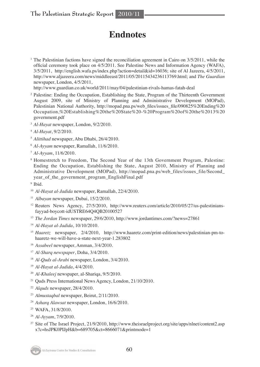# **Endnotes**

<sup>1</sup> The Palestinian factions have signed the reconciliation agreement in Cairo on  $3/5/2011$ , while the official ceremony took place on 4/5/2011. See Palestine News and Information Agency (WAFA), 3/5/2011, http://english.wafa.ps/index.php?action=detail&id=16036; site of Al Jazeera, 4/5/2011, http://www.aljazeera.com/news/middleeast/2011/05/20115434236113769.html; and *The Guardian* newspaper, London, 4/5/2011,

http://www.guardian.co.uk/world/2011/may/04/palestinian-rivals-hamas-fatah-deal

- <sup>2</sup> Palestine: Ending the Occupation, Establishing the State, Program of the Thirteenth Government August 2009, site of Ministry of Planning and Administrative Development (MOPad), Palestinian National Authority, http://mopad.pna.ps/web\_files/issues\_file/090825%20Ending%20 Occupation,%20Establishing%20the%20State%20-%20Program%20of%20the%2013%20 government.pdf
- <sup>3</sup> *Al-Hayat* newspaper, London, 9/2/2010.
- <sup>4</sup> *Al-Hayat*, 9/2/2010.
- <sup>5</sup> *Alittihad* newspaper, Abu Dhabi, 26/4/2010.
- <sup>6</sup> *Al-Ayyam* newspaper, Ramallah, 11/6/2010.
- <sup>7</sup> *Al-Ayyam*, 11/6/2010.
- <sup>8</sup> Homestretch to Freedom, The Second Year of the 13th Government Program, Palestine: Ending the Occupation, Establishing the State, August 2010, Ministry of Planning and Administrative Development (MOPad), http://mopad.pna.ps/web\_files/issues\_file/Second\_ year of the government program EnglishFinal.pdf

<sup>9</sup> Ibid.

- <sup>10</sup> *Al-Hayat al-Jadida* newspaper, Ramallah, 22/4/2010.
- <sup>11</sup> *Albayan* newspaper, Dubai, 15/2/2010.
- <sup>12</sup> Reuters News Agency, 27/5/2010, http://www.reuters.com/article/2010/05/27/us-palestiniansfayyad-boycott-idUSTRE64Q4QB20100527
- <sup>13</sup> *The Jordan Times* newspaper, 29/6/2010, http://www.jordantimes.com/?news=27861
- <sup>14</sup> *Al-Hayat al-Jadida*, 10/10/2010.
- <sup>15</sup> *Haaretz* newspaper, 2/4/2010, http://www.haaretz.com/print-edition/news/palestinian-pm-tohaaretz-we-will-have-a-state-next-year-1.283802
- <sup>16</sup> *Assabeel* newspaper, Amman, 3/4/2010.
- <sup>17</sup> *Al-Sharq newspaper*, Doha, 3/4/2010.
- <sup>18</sup> *Al-Quds al-Arabi* newspaper, London, 3/4/2010.
- <sup>19</sup> *Al-Hayat al-Jadida*, 4/4/2010.
- <sup>20</sup> *Al-Khaleej* newspaper, al-Shariqa, 9/5/2010.
- <sup>21</sup> Quds Press International News Agency, London, 21/10/2010.
- <sup>22</sup> *Alquds* newspaper, 28/4/2010.
- <sup>23</sup> *Almustaqbal* newspaper, Beirut, 2/11/2010.
- <sup>24</sup> *Asharq Alawsat* newspaper, London, 16/6/2010.
- <sup>25</sup> WAFA, 31/8/2010.
- <sup>26</sup> *Al-Ayyam*, 7/9/2010.
- <sup>27</sup> Site of The Israel Project, 21/9/2010, http://www.theisraelproject.org/site/apps/nlnet/content2.asp x?c=hsJPK0PIJpH&b=689705&ct=8666071&printmode=1

Al-Zaytouna Centre for Studies & Consultations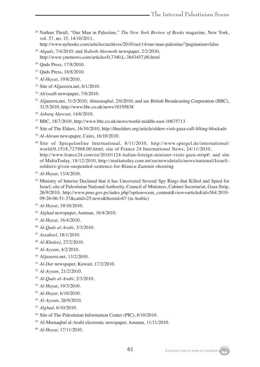- Nathan Thrall, "Our Man in Palestine," *The New York Review of Books* magazine, New York, vol. 57, no. 15, 14/10/2011. http://www.nybooks.com/articles/archives/2010/oct/14/our-man-palestine/?pagination=false
- *Alquds*, 7/4/2010; and *Yedioth Ahronoth* newspaper, 2/2/2010, http://www.ynetnews.com/articles/0,7340,L-3843457,00.html
- Quds Press, 17/8/2010.
- <sup>31</sup> Quds Press, 18/8/2010.
- *Al-Hayat*, 19/8/2010.
- <sup>33</sup> Site of Aljazeera.net, 6/1/2010.
- *Alriyadh* newspaper, 7/6/2010.
- Aljazeera.net, 31/5/2010; *Almustaqbal*, 2/6/2010; and see British Broadcasting Corporation (BBC), 31/5/2010, http://www.bbc.co.uk/news/10195838
- *Asharq Alawsat*, 14/6/2010.
- BBC, 18/7/2010, http://www.bbc.co.uk/news/world-middle-east-10675713
- Site of The Elders, 16/10/2010, http://theelders.org/article/elders-visit-gaza-call-lifting-blockade
- *Al-Ahram* newspaper, Cairo, 16/10/2010.
- Site of Spiegelonline International, 8/11/2010, http://www.spiegel.de/international/ world/0,1518,727968,00.html; site of France 24 International News, 24/11/2010, http://www.france24.com/en/20101124-italian-foreign-minister-visits-gaza-strip#; and site of MaltaToday, 18/12/2010, http://maltatoday.com.mt/en/newsdetails/news/national/Israelisoldiers-given-suspended-sentence-for-Bianca-Zammit-shooting
- *Al-Hayat*, 13/4/2010.
- <sup>42</sup> Ministry of Interior Declared that it has Uncovered Several Spy Rings that Killed and Spied for Israel, site of Palestinian National Authority, Council of Ministers, Cabinet Secretariat, Gaza Strip, 26/9/2010, http://www.pmo.gov.ps/index.php?option=com\_content&view=article&id=564:2010- 09-26-06-51-37&catid=25:news&Itemid=67 (in Arabic)
- *Al-Hayat*, 19/10/2010.
- *Alghad* newspaper, Amman, 16/4/2010.
- *Al-Hayat*, 16/4/2010.
- *Al-Quds al-Arabi*, 3/3/2010.
- *Assabeel*, 18/1/2010.
- *Al-Khaleej*, 27/2/2010.
- *Al-Ayyam*, 4/2/2010.
- Aljazeera.net, 13/2/2010.
- *Al-Dar* newspaper, Kuwait, 17/2/2010.
- *Al-Ayyam*, 21/2/2010.
- *Al-Quds al-Arabi*, 2/3/2010.
- *Al-Hayat*, 19/3/2010.
- *Al-Hayat*, 6/10/2010.
- *Al-Ayyam*, 26/9/2010.
- *Alghad*, 6/10/2010.
- <sup>58</sup> Site of The Palestinian Information Center (PIC), 8/10/2010.
- Al-Mustaqbal al-Arabi electronic newspaper, Amman, 11/11/2010.
- *Al-Hayat*, 17/11/2010.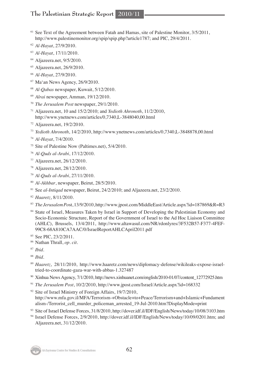# **The Palestinian Strategic Report 2010/11**

- <sup>61</sup> See Text of the Agreement between Fatah and Hamas, site of Palestine Monitor, 3/5/2011, http://www.palestinemonitor.org/spip/spip.php?article1787; and PIC, 29/4/2011.
- *Al-Hayat*, 27/9/2010.
- *Al-Hayat*, 17/11/2010.
- Aljazeera.net, 9/5/2010.
- Aljazeera.net, 26/9/2010.
- *Al-Hayat*, 27/9/2010.
- Ma'an News Agency, 26/9/2010.
- *Al-Qabas* newspaper, Kuwait, 5/12/2010.
- *Alrai* newspaper, Amman, 19/12/2010.
- *The Jerusalem Post* newspaper, 29/1/2010.
- Aljazeera.net, 10 and 15/2/2010; and *Yedioth Ahronoth*, 11/2/2010, http://www.ynetnews.com/articles/0,7340,L-3848040,00.html
- Aljazeera.net, 19/2/2010.
- *Yedioth Ahronoth*, 14/2/2010, http://www.ynetnews.com/articles/0,7340,L-3848878,00.html
- *Al-Hayat*, 7/4/2010.
- Site of Palestine Now (Paltimes.net), 5/4/2010.
- *Al-Quds al-Arabi*, 17/12/2010.
- Aljazeera.net, 26/12/2010.
- Aljazeera.net, 28/12/2010.
- *Al-Quds al-Arabi*, 27/11/2010.
- *Al-Akhbar*, newspaper, Beirut, 28/5/2010.
- See *al-Intiqad* newspaper, Beirut, 24/2/2010; and Aljazeera.net, 23/2/2010.
- *Haaretz*, 8/11/2010.
- *The Jerusalem Po*st, 13/9/2010, http://www.jpost.com/MiddleEast/Article.aspx?id=187869&R=R3
- State of Israel, Measures Taken by Israel in Support of Developing the Palestinian Economy and Socio-Economic Structure, Report of the Government of Israel to the Ad Hoc Liaison Committee (AHLC), Brussels, 13/4/2011, http://www.altawasul.com/NR/rdonlyres/3F532B57-F377-4FEF-99C8-68A810CA7AAC/0/IsraelReportAHLCApril2011.pdf
- 85 See PIC, 23/2/2011.
- Nathan Thrall, *op. cit.*
- *Ibid.*
- *Ibid.*
- *Haaretz*, 28/11/2010, http://www.haaretz.com/news/diplomacy-defense/wikileaks-expose-israeltried-to-coordinate-gaza-war-with-abbas-1.327487
- Xinhua News Agency, 7/1/2010, http://news.xinhuanet.com/english/2010-01/07/content\_12772925.htm
- *The Jerusalem Post*, 10/2/2010, http://www.jpost.com/Israel/Article.aspx?id=168332
- <sup>92</sup> Site of Israel Ministry of Foreign Affairs, 19/7/2010, http://www.mfa.gov.il/MFA/Terrorism-+Obstacle+to+Peace/Terrorism+and+Islamic+Fundament alism-/Terrorist\_cell\_murder\_policeman\_arrested\_19-Jul-2010.htm?DisplayMode=print
- Site of Israel Defense Forces, 31/8/2010, http://dover.idf.il/IDF/English/News/today/10/08/3103.htm
- Israel Defense Forces, 2/9/2010, http://dover.idf.il/IDF/English/News/today/10/09/0201.htm; and Aljazeera.net, 31/12/2010.